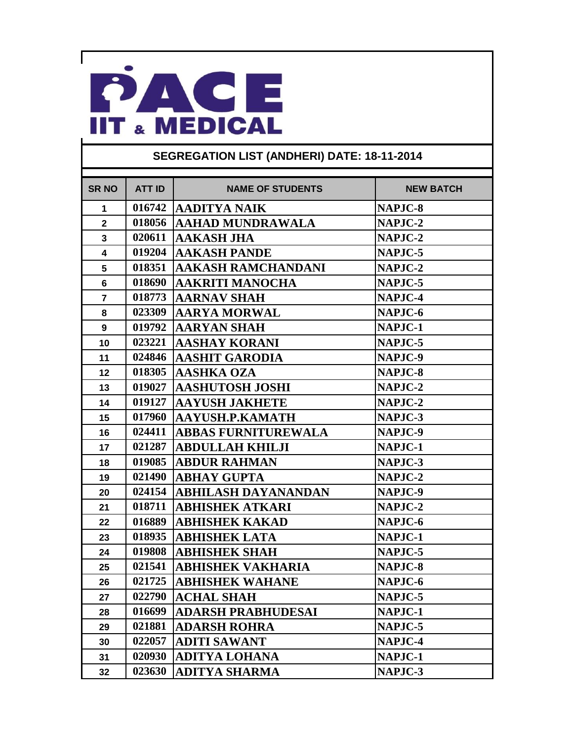

| <b>SR NO</b>   | <b>ATT ID</b> | <b>NAME OF STUDENTS</b>    | <b>NEW BATCH</b> |
|----------------|---------------|----------------------------|------------------|
| 1              | 016742        | <b>AADITYA NAIK</b>        | NAPJC-8          |
| $\overline{2}$ | 018056        | <b>AAHAD MUNDRAWALA</b>    | NAPJC-2          |
| $\mathbf{3}$   | 020611        | <b>AAKASH JHA</b>          | NAPJC-2          |
| 4              | 019204        | <b>AAKASH PANDE</b>        | NAPJC-5          |
| 5              | 018351        | <b>AAKASH RAMCHANDANI</b>  | NAPJC-2          |
| 6              | 018690        | <b>AAKRITI MANOCHA</b>     | NAPJC-5          |
| $\overline{7}$ | 018773        | AARNAV SHAH                | NAPJC-4          |
| 8              | 023309        | <b>AARYA MORWAL</b>        | NAPJC-6          |
| 9              | 019792        | <b>AARYAN SHAH</b>         | NAPJC-1          |
| 10             | 023221        | AASHAY KORANI              | NAPJC-5          |
| 11             | 024846        | <b>AASHIT GARODIA</b>      | NAPJC-9          |
| 12             | 018305        | <b>AASHKA OZA</b>          | NAPJC-8          |
| 13             | 019027        | <b>AASHUTOSH JOSHI</b>     | NAPJC-2          |
| 14             | 019127        | <b>AAYUSH JAKHETE</b>      | NAPJC-2          |
| 15             | 017960        | AAYUSH.P.KAMATH            | NAPJC-3          |
| 16             | 024411        | <b>ABBAS FURNITUREWALA</b> | NAPJC-9          |
| 17             | 021287        | <b>ABDULLAH KHILJI</b>     | NAPJC-1          |
| 18             | 019085        | <b>ABDUR RAHMAN</b>        | NAPJC-3          |
| 19             | 021490        | <b>ABHAY GUPTA</b>         | NAPJC-2          |
| 20             | 024154        | <b>ABHILASH DAYANANDAN</b> | NAPJC-9          |
| 21             | 018711        | <b>ABHISHEK ATKARI</b>     | NAPJC-2          |
| 22             | 016889        | <b>ABHISHEK KAKAD</b>      | NAPJC-6          |
| 23             | 018935        | <b>ABHISHEK LATA</b>       | NAPJC-1          |
| 24             | 019808        | <b>ABHISHEK SHAH</b>       | NAPJC-5          |
| 25             | 021541        | ABHISHEK VAKHARIA          | NAPJC-8          |
| 26             | 021725        | <b>ABHISHEK WAHANE</b>     | NAPJC-6          |
| 27             | 022790        | <b>ACHAL SHAH</b>          | NAPJC-5          |
| 28             | 016699        | <b>ADARSH PRABHUDESAI</b>  | NAPJC-1          |
| 29             | 021881        | <b>ADARSH ROHRA</b>        | NAPJC-5          |
| 30             | 022057        | <b>ADITI SAWANT</b>        | NAPJC-4          |
| 31             | 020930        | <b>ADITYA LOHANA</b>       | NAPJC-1          |
| 32             | 023630        | <b>ADITYA SHARMA</b>       | NAPJC-3          |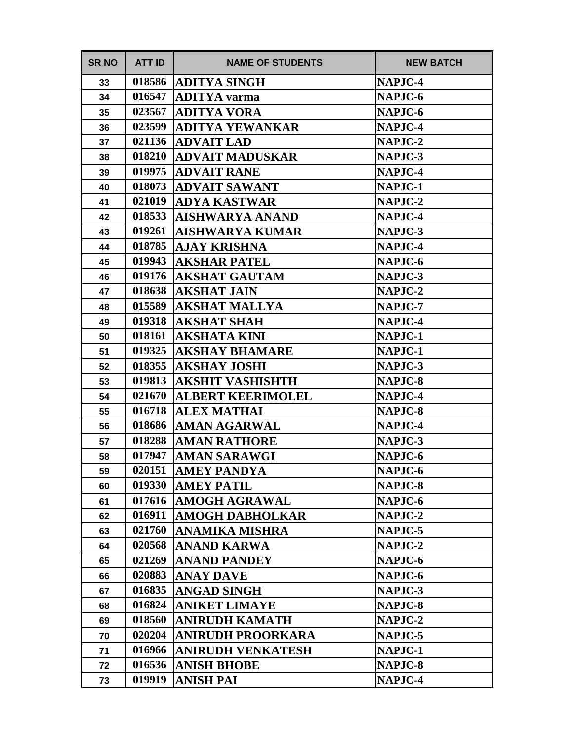| <b>SR NO</b> | <b>ATT ID</b> | <b>NAME OF STUDENTS</b>  | <b>NEW BATCH</b> |
|--------------|---------------|--------------------------|------------------|
| 33           | 018586        | <b>ADITYA SINGH</b>      | NAPJC-4          |
| 34           | 016547        | <b>ADITYA</b> varma      | NAPJC-6          |
| 35           | 023567        | <b>ADITYA VORA</b>       | NAPJC-6          |
| 36           | 023599        | <b>ADITYA YEWANKAR</b>   | <b>NAPJC-4</b>   |
| 37           | 021136        | <b>ADVAIT LAD</b>        | NAPJC-2          |
| 38           | 018210        | <b>ADVAIT MADUSKAR</b>   | NAPJC-3          |
| 39           | 019975        | <b>ADVAIT RANE</b>       | <b>NAPJC-4</b>   |
| 40           | 018073        | <b>ADVAIT SAWANT</b>     | NAPJC-1          |
| 41           | 021019        | <b>ADYA KASTWAR</b>      | NAPJC-2          |
| 42           | 018533        | <b>AISHWARYA ANAND</b>   | <b>NAPJC-4</b>   |
| 43           | 019261        | AISHWARYA KUMAR          | NAPJC-3          |
| 44           | 018785        | <b>AJAY KRISHNA</b>      | NAPJC-4          |
| 45           | 019943        | <b>AKSHAR PATEL</b>      | NAPJC-6          |
| 46           | 019176        | <b>AKSHAT GAUTAM</b>     | NAPJC-3          |
| 47           | 018638        | <b>AKSHAT JAIN</b>       | NAPJC-2          |
| 48           | 015589        | <b>AKSHAT MALLYA</b>     | <b>NAPJC-7</b>   |
| 49           | 019318        | <b>AKSHAT SHAH</b>       | NAPJC-4          |
| 50           | 018161        | <b>AKSHATA KINI</b>      | NAPJC-1          |
| 51           | 019325        | AKSHAY BHAMARE           | NAPJC-1          |
| 52           | 018355        | <b>AKSHAY JOSHI</b>      | NAPJC-3          |
| 53           | 019813        | <b>AKSHIT VASHISHTH</b>  | NAPJC-8          |
| 54           | 021670        | <b>ALBERT KEERIMOLEL</b> | NAPJC-4          |
| 55           | 016718        | <b>ALEX MATHAI</b>       | NAPJC-8          |
| 56           | 018686        | <b>AMAN AGARWAL</b>      | NAPJC-4          |
| 57           | 018288        | <b>AMAN RATHORE</b>      | NAPJC-3          |
| 58           | 017947        | <b>AMAN SARAWGI</b>      | NAPJC-6          |
| 59           | 020151        | <b>AMEY PANDYA</b>       | NAPJC-6          |
| 60           | 019330        | <b>AMEY PATIL</b>        | NAPJC-8          |
| 61           | 017616        | <b>AMOGH AGRAWAL</b>     | NAPJC-6          |
| 62           | 016911        | <b>AMOGH DABHOLKAR</b>   | NAPJC-2          |
| 63           | 021760        | <b>ANAMIKA MISHRA</b>    | NAPJC-5          |
| 64           | 020568        | <b>ANAND KARWA</b>       | NAPJC-2          |
| 65           | 021269        | <b>ANAND PANDEY</b>      | NAPJC-6          |
| 66           | 020883        | <b>ANAY DAVE</b>         | NAPJC-6          |
| 67           | 016835        | <b>ANGAD SINGH</b>       | NAPJC-3          |
| 68           | 016824        | <b>ANIKET LIMAYE</b>     | NAPJC-8          |
| 69           | 018560        | <b>ANIRUDH KAMATH</b>    | NAPJC-2          |
| 70           | 020204        | <b>ANIRUDH PROORKARA</b> | NAPJC-5          |
| 71           | 016966        | <b>ANIRUDH VENKATESH</b> | NAPJC-1          |
| 72           | 016536        | <b>ANISH BHOBE</b>       | NAPJC-8          |
| 73           | 019919        | <b>ANISH PAI</b>         | NAPJC-4          |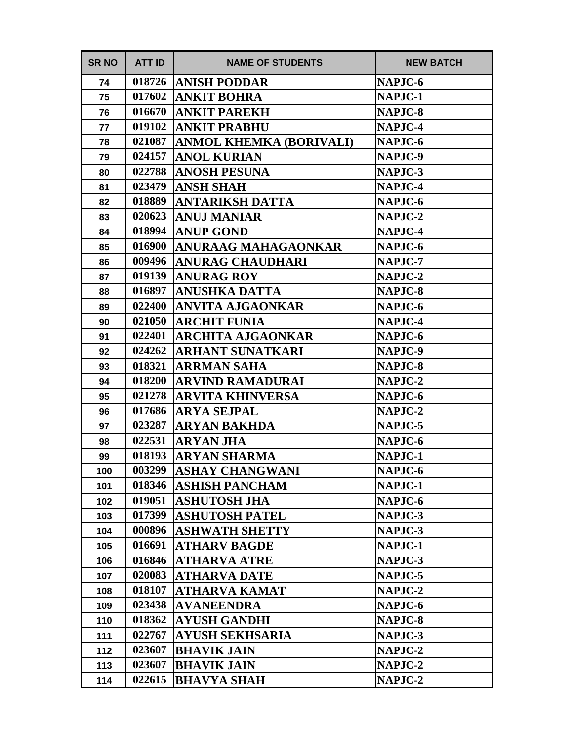| <b>SR NO</b> | <b>ATT ID</b> | <b>NAME OF STUDENTS</b>        | <b>NEW BATCH</b> |
|--------------|---------------|--------------------------------|------------------|
| 74           | 018726        | <b>ANISH PODDAR</b>            | NAPJC-6          |
| 75           | 017602        | <b>ANKIT BOHRA</b>             | NAPJC-1          |
| 76           | 016670        | <b>ANKIT PAREKH</b>            | NAPJC-8          |
| 77           | 019102        | <b>ANKIT PRABHU</b>            | NAPJC-4          |
| 78           | 021087        | <b>ANMOL KHEMKA (BORIVALI)</b> | NAPJC-6          |
| 79           | 024157        | <b>ANOL KURIAN</b>             | NAPJC-9          |
| 80           | 022788        | <b>ANOSH PESUNA</b>            | NAPJC-3          |
| 81           | 023479        | <b>ANSH SHAH</b>               | NAPJC-4          |
| 82           | 018889        | <b>ANTARIKSH DATTA</b>         | NAPJC-6          |
| 83           | 020623        | <b>ANUJ MANIAR</b>             | <b>NAPJC-2</b>   |
| 84           | 018994        | <b>ANUP GOND</b>               | NAPJC-4          |
| 85           | 016900        | <b>ANURAAG MAHAGAONKAR</b>     | NAPJC-6          |
| 86           | 009496        | <b>ANURAG CHAUDHARI</b>        | NAPJC-7          |
| 87           | 019139        | <b>ANURAG ROY</b>              | NAPJC-2          |
| 88           | 016897        | <b>ANUSHKA DATTA</b>           | NAPJC-8          |
| 89           | 022400        | ANVITA AJGAONKAR               | NAPJC-6          |
| 90           | 021050        | <b>ARCHIT FUNIA</b>            | NAPJC-4          |
| 91           | 022401        | <b>ARCHITA AJGAONKAR</b>       | NAPJC-6          |
| 92           | 024262        | ARHANT SUNATKARI               | NAPJC-9          |
| 93           | 018321        | <b>ARRMAN SAHA</b>             | NAPJC-8          |
| 94           | 018200        | <b>ARVIND RAMADURAI</b>        | NAPJC-2          |
| 95           | 021278        | <b>ARVITA KHINVERSA</b>        | NAPJC-6          |
| 96           | 017686        | <b>ARYA SEJPAL</b>             | NAPJC-2          |
| 97           | 023287        | ARYAN BAKHDA                   | NAPJC-5          |
| 98           | 022531        | <b>ARYAN JHA</b>               | NAPJC-6          |
| 99           | 018193        | <b>ARYAN SHARMA</b>            | NAPJC-1          |
| 100          | 003299        | <b>ASHAY CHANGWANI</b>         | NAPJC-6          |
| 101          | 018346        | <b>ASHISH PANCHAM</b>          | NAPJC-1          |
| 102          | 019051        | <b>ASHUTOSH JHA</b>            | NAPJC-6          |
| 103          | 017399        | <b>ASHUTOSH PATEL</b>          | NAPJC-3          |
| 104          | 000896        | <b>ASHWATH SHETTY</b>          | NAPJC-3          |
| 105          | 016691        | <b>ATHARV BAGDE</b>            | NAPJC-1          |
| 106          | 016846        | <b>ATHARVA ATRE</b>            | NAPJC-3          |
| 107          | 020083        | <b>ATHARVA DATE</b>            | NAPJC-5          |
| 108          | 018107        | <b>ATHARVA KAMAT</b>           | NAPJC-2          |
| 109          | 023438        | <b>AVANEENDRA</b>              | NAPJC-6          |
| 110          | 018362        | <b>AYUSH GANDHI</b>            | NAPJC-8          |
| 111          | 022767        | <b>AYUSH SEKHSARIA</b>         | NAPJC-3          |
| 112          | 023607        | <b>BHAVIK JAIN</b>             | NAPJC-2          |
| 113          | 023607        | <b>BHAVIK JAIN</b>             | NAPJC-2          |
| 114          | 022615        | <b>BHAVYA SHAH</b>             | NAPJC-2          |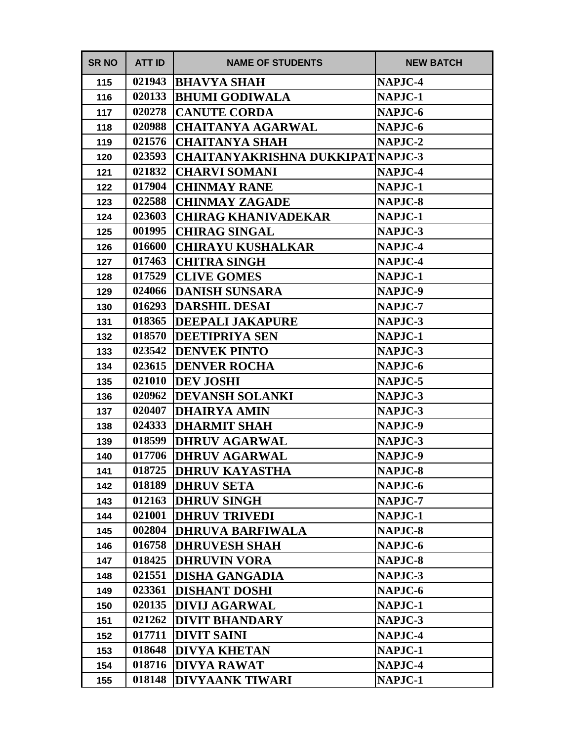| <b>SR NO</b> | <b>ATT ID</b> | <b>NAME OF STUDENTS</b>                 | <b>NEW BATCH</b> |
|--------------|---------------|-----------------------------------------|------------------|
| 115          | 021943        | <b>BHAVYA SHAH</b>                      | NAPJC-4          |
| 116          | 020133        | <b>BHUMI GODIWALA</b>                   | NAPJC-1          |
| 117          | 020278        | <b>CANUTE CORDA</b>                     | NAPJC-6          |
| 118          | 020988        | <b>CHAITANYA AGARWAL</b>                | NAPJC-6          |
| 119          | 021576        | <b>CHAITANYA SHAH</b>                   | NAPJC-2          |
| 120          | 023593        | <b>CHAITANYAKRISHNA DUKKIPATNAPJC-3</b> |                  |
| 121          | 021832        | <b>CHARVI SOMANI</b>                    | NAPJC-4          |
| 122          | 017904        | <b>CHINMAY RANE</b>                     | NAPJC-1          |
| 123          | 022588        | <b>CHINMAY ZAGADE</b>                   | NAPJC-8          |
| 124          | 023603        | <b>CHIRAG KHANIVADEKAR</b>              | NAPJC-1          |
| 125          | 001995        | <b>CHIRAG SINGAL</b>                    | NAPJC-3          |
| 126          | 016600        | <b>CHIRAYU KUSHALKAR</b>                | NAPJC-4          |
| 127          | 017463        | <b>CHITRA SINGH</b>                     | NAPJC-4          |
| 128          | 017529        | <b>CLIVE GOMES</b>                      | NAPJC-1          |
| 129          | 024066        | <b>DANISH SUNSARA</b>                   | NAPJC-9          |
| 130          | 016293        | <b>DARSHIL DESAI</b>                    | NAPJC-7          |
| 131          | 018365        | <b>DEEPALI JAKAPURE</b>                 | NAPJC-3          |
| 132          | 018570        | <b>DEETIPRIYA SEN</b>                   | NAPJC-1          |
| 133          | 023542        | <b>DENVEK PINTO</b>                     | NAPJC-3          |
| 134          | 023615        | <b>DENVER ROCHA</b>                     | NAPJC-6          |
| 135          | 021010        | <b>DEV JOSHI</b>                        | NAPJC-5          |
| 136          | 020962        | <b>DEVANSH SOLANKI</b>                  | NAPJC-3          |
| 137          | 020407        | <b>DHAIRYA AMIN</b>                     | NAPJC-3          |
| 138          | 024333        | <b>DHARMIT SHAH</b>                     | NAPJC-9          |
| 139          | 018599        | <b>DHRUV AGARWAL</b>                    | NAPJC-3          |
| 140          | 017706        | <b>DHRUV AGARWAL</b>                    | NAPJC-9          |
| 141          | 018725        | <b>DHRUV KAYASTHA</b>                   | NAPJC-8          |
| 142          | 018189        | <b>DHRUV SETA</b>                       | NAPJC-6          |
| 143          | 012163        | <b>DHRUV SINGH</b>                      | NAPJC-7          |
| 144          | 021001        | <b>DHRUV TRIVEDI</b>                    | NAPJC-1          |
| 145          | 002804        | <b>DHRUVA BARFIWALA</b>                 | NAPJC-8          |
| 146          | 016758        | <b>DHRUVESH SHAH</b>                    | NAPJC-6          |
| 147          | 018425        | <b>DHRUVIN VORA</b>                     | NAPJC-8          |
| 148          | 021551        | <b>DISHA GANGADIA</b>                   | NAPJC-3          |
| 149          | 023361        | <b>DISHANT DOSHI</b>                    | NAPJC-6          |
| 150          | 020135        | <b>DIVIJ AGARWAL</b>                    | NAPJC-1          |
| 151          | 021262        | <b>DIVIT BHANDARY</b>                   | NAPJC-3          |
| 152          | 017711        | <b>DIVIT SAINI</b>                      | NAPJC-4          |
| 153          | 018648        | <b>DIVYA KHETAN</b>                     | NAPJC-1          |
| 154          | 018716        | <b>DIVYA RAWAT</b>                      | NAPJC-4          |
| 155          | 018148        | <b>DIVYAANK TIWARI</b>                  | NAPJC-1          |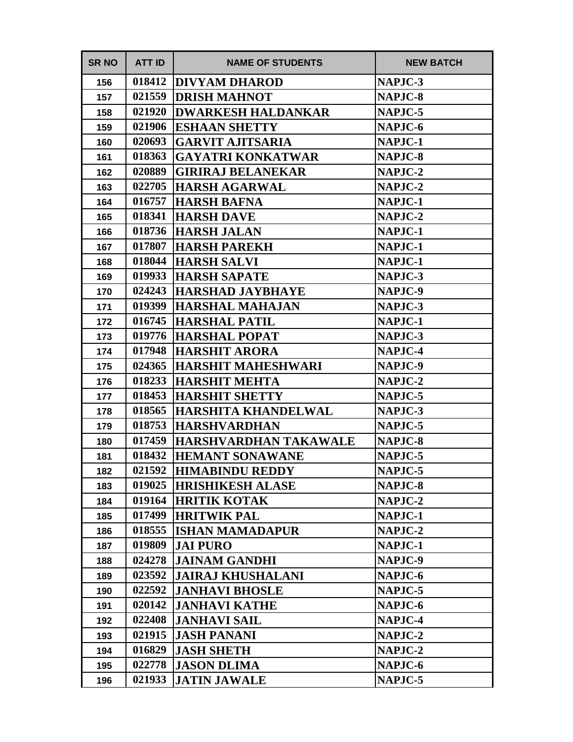| <b>SR NO</b> | <b>ATT ID</b> | <b>NAME OF STUDENTS</b>      | <b>NEW BATCH</b> |
|--------------|---------------|------------------------------|------------------|
| 156          | 018412        | <b>DIVYAM DHAROD</b>         | NAPJC-3          |
| 157          | 021559        | <b>DRISH MAHNOT</b>          | NAPJC-8          |
| 158          | 021920        | <b>DWARKESH HALDANKAR</b>    | NAPJC-5          |
| 159          | 021906        | <b>ESHAAN SHETTY</b>         | NAPJC-6          |
| 160          | 020693        | <b>GARVIT AJITSARIA</b>      | NAPJC-1          |
| 161          | 018363        | <b>GAYATRI KONKATWAR</b>     | NAPJC-8          |
| 162          | 020889        | <b>GIRIRAJ BELANEKAR</b>     | NAPJC-2          |
| 163          | 022705        | <b>HARSH AGARWAL</b>         | NAPJC-2          |
| 164          | 016757        | <b>HARSH BAFNA</b>           | NAPJC-1          |
| 165          | 018341        | <b>HARSH DAVE</b>            | NAPJC-2          |
| 166          | 018736        | <b>HARSH JALAN</b>           | NAPJC-1          |
| 167          | 017807        | <b>HARSH PAREKH</b>          | NAPJC-1          |
| 168          | 018044        | <b>HARSH SALVI</b>           | NAPJC-1          |
| 169          | 019933        | <b>HARSH SAPATE</b>          | NAPJC-3          |
| 170          | 024243        | <b>HARSHAD JAYBHAYE</b>      | NAPJC-9          |
| 171          | 019399        | <b>HARSHAL MAHAJAN</b>       | NAPJC-3          |
| 172          | 016745        | <b>HARSHAL PATIL</b>         | NAPJC-1          |
| 173          | 019776        | <b>HARSHAL POPAT</b>         | NAPJC-3          |
| 174          | 017948        | <b>HARSHIT ARORA</b>         | NAPJC-4          |
| 175          | 024365        | <b>HARSHIT MAHESHWARI</b>    | NAPJC-9          |
| 176          | 018233        | <b>HARSHIT MEHTA</b>         | NAPJC-2          |
| 177          | 018453        | <b>HARSHIT SHETTY</b>        | NAPJC-5          |
| 178          | 018565        | <b>HARSHITA KHANDELWAL</b>   | NAPJC-3          |
| 179          | 018753        | <b>HARSHVARDHAN</b>          | NAPJC-5          |
| 180          | 017459        | <b>HARSHVARDHAN TAKAWALE</b> | NAPJC-8          |
| 181          | 018432        | <b>HEMANT SONAWANE</b>       | NAPJC-5          |
| 182          | 021592        | <b>HIMABINDU REDDY</b>       | NAPJC-5          |
| 183          |               | 019025  HRISHIKESH ALASE     | NAPJC-8          |
| 184          | 019164        | <b>HRITIK KOTAK</b>          | NAPJC-2          |
| 185          | 017499        | <b>HRITWIK PAL</b>           | NAPJC-1          |
| 186          | 018555        | <b>ISHAN MAMADAPUR</b>       | NAPJC-2          |
| 187          | 019809        | <b>JAI PURO</b>              | NAPJC-1          |
| 188          | 024278        | <b>JAINAM GANDHI</b>         | NAPJC-9          |
| 189          | 023592        | <b>JAIRAJ KHUSHALANI</b>     | NAPJC-6          |
| 190          | 022592        | <b>JANHAVI BHOSLE</b>        | NAPJC-5          |
| 191          | 020142        | <b>JANHAVI KATHE</b>         | NAPJC-6          |
| 192          | 022408        | <b>JANHAVI SAIL</b>          | NAPJC-4          |
| 193          | 021915        | <b>JASH PANANI</b>           | NAPJC-2          |
| 194          | 016829        | <b>JASH SHETH</b>            | NAPJC-2          |
| 195          | 022778        | <b>JASON DLIMA</b>           | NAPJC-6          |
| 196          | 021933        | <b>JATIN JAWALE</b>          | NAPJC-5          |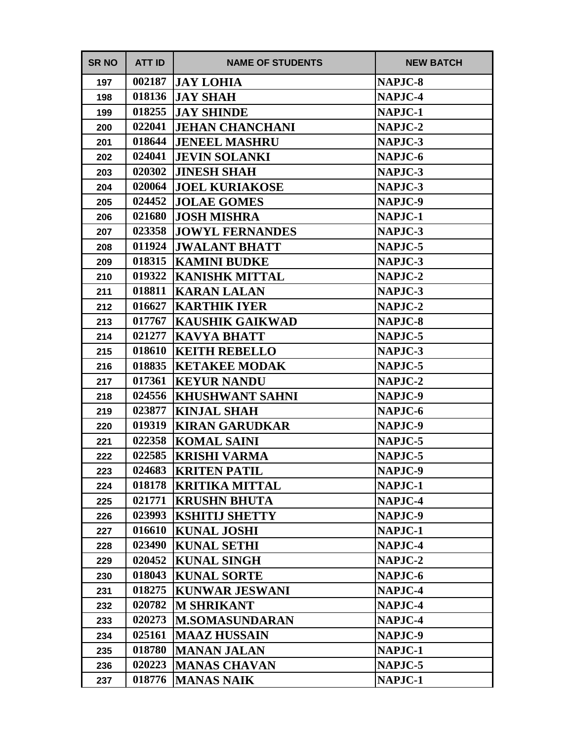| <b>SR NO</b> | <b>ATT ID</b> | <b>NAME OF STUDENTS</b> | <b>NEW BATCH</b> |
|--------------|---------------|-------------------------|------------------|
| 197          | 002187        | <b>JAY LOHIA</b>        | <b>NAPJC-8</b>   |
| 198          | 018136        | <b>JAY SHAH</b>         | NAPJC-4          |
| 199          | 018255        | <b>JAY SHINDE</b>       | NAPJC-1          |
| 200          | 022041        | <b>JEHAN CHANCHANI</b>  | <b>NAPJC-2</b>   |
| 201          | 018644        | <b>JENEEL MASHRU</b>    | NAPJC-3          |
| 202          | 024041        | <b>JEVIN SOLANKI</b>    | NAPJC-6          |
| 203          | 020302        | <b>JINESH SHAH</b>      | NAPJC-3          |
| 204          | 020064        | <b>JOEL KURIAKOSE</b>   | NAPJC-3          |
| 205          | 024452        | <b>JOLAE GOMES</b>      | NAPJC-9          |
| 206          | 021680        | <b>JOSH MISHRA</b>      | NAPJC-1          |
| 207          | 023358        | <b>JOWYL FERNANDES</b>  | NAPJC-3          |
| 208          | 011924        | <b>JWALANT BHATT</b>    | NAPJC-5          |
| 209          | 018315        | <b>KAMINI BUDKE</b>     | NAPJC-3          |
| 210          | 019322        | <b>KANISHK MITTAL</b>   | NAPJC-2          |
| 211          | 018811        | <b>KARAN LALAN</b>      | NAPJC-3          |
| 212          | 016627        | <b>KARTHIK IYER</b>     | <b>NAPJC-2</b>   |
| 213          | 017767        | <b>KAUSHIK GAIKWAD</b>  | NAPJC-8          |
| 214          | 021277        | <b>KAVYA BHATT</b>      | NAPJC-5          |
| 215          | 018610        | <b>KEITH REBELLO</b>    | NAPJC-3          |
| 216          | 018835        | <b>KETAKEE MODAK</b>    | NAPJC-5          |
| 217          | 017361        | <b>KEYUR NANDU</b>      | NAPJC-2          |
| 218          | 024556        | <b>KHUSHWANT SAHNI</b>  | NAPJC-9          |
| 219          | 023877        | <b>KINJAL SHAH</b>      | NAPJC-6          |
| 220          | 019319        | <b>KIRAN GARUDKAR</b>   | NAPJC-9          |
| 221          | 022358        | <b>KOMAL SAINI</b>      | NAPJC-5          |
| 222          | 022585        | <b>KRISHI VARMA</b>     | NAPJC-5          |
| 223          | 024683        | <b>KRITEN PATIL</b>     | NAPJC-9          |
| 224          | 018178        | <b>KRITIKA MITTAL</b>   | NAPJC-1          |
| 225          | 021771        | <b>KRUSHN BHUTA</b>     | NAPJC-4          |
| 226          | 023993        | <b>KSHITIJ SHETTY</b>   | NAPJC-9          |
| 227          | 016610        | <b>KUNAL JOSHI</b>      | NAPJC-1          |
| 228          | 023490        | <b>KUNAL SETHI</b>      | NAPJC-4          |
| 229          | 020452        | <b>KUNAL SINGH</b>      | NAPJC-2          |
| 230          | 018043        | <b>KUNAL SORTE</b>      | NAPJC-6          |
| 231          | 018275        | <b>KUNWAR JESWANI</b>   | NAPJC-4          |
| 232          | 020782        | <b>M SHRIKANT</b>       | NAPJC-4          |
| 233          | 020273        | <b>M.SOMASUNDARAN</b>   | NAPJC-4          |
| 234          | 025161        | <b>MAAZ HUSSAIN</b>     | NAPJC-9          |
| 235          | 018780        | <b>MANAN JALAN</b>      | NAPJC-1          |
| 236          | 020223        | <b>MANAS CHAVAN</b>     | NAPJC-5          |
| 237          | 018776        | <b>MANAS NAIK</b>       | NAPJC-1          |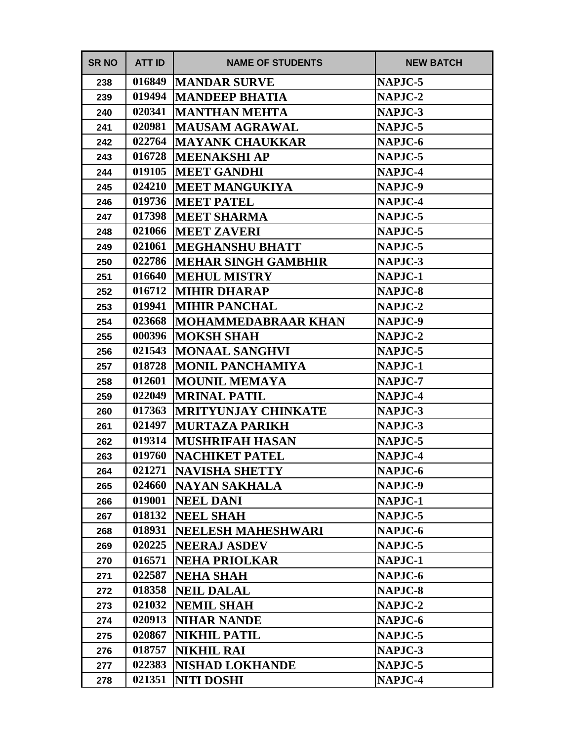| <b>SR NO</b> | <b>ATT ID</b> | <b>NAME OF STUDENTS</b>    | <b>NEW BATCH</b> |
|--------------|---------------|----------------------------|------------------|
| 238          | 016849        | <b>MANDAR SURVE</b>        | NAPJC-5          |
| 239          | 019494        | <b>MANDEEP BHATIA</b>      | NAPJC-2          |
| 240          | 020341        | <b>MANTHAN MEHTA</b>       | NAPJC-3          |
| 241          | 020981        | <b>MAUSAM AGRAWAL</b>      | NAPJC-5          |
| 242          | 022764        | <b>MAYANK CHAUKKAR</b>     | NAPJC-6          |
| 243          | 016728        | <b>MEENAKSHI AP</b>        | NAPJC-5          |
| 244          | 019105        | <b>MEET GANDHI</b>         | NAPJC-4          |
| 245          | 024210        | <b>MEET MANGUKIYA</b>      | NAPJC-9          |
| 246          | 019736        | <b>MEET PATEL</b>          | NAPJC-4          |
| 247          | 017398        | <b>MEET SHARMA</b>         | NAPJC-5          |
| 248          | 021066        | <b>MEET ZAVERI</b>         | NAPJC-5          |
| 249          | 021061        | <b> MEGHANSHU BHATT</b>    | NAPJC-5          |
| 250          | 022786        | <b>MEHAR SINGH GAMBHIR</b> | NAPJC-3          |
| 251          | 016640        | <b>MEHUL MISTRY</b>        | NAPJC-1          |
| 252          | 016712        | <b>MIHIR DHARAP</b>        | NAPJC-8          |
| 253          | 019941        | <b>MIHIR PANCHAL</b>       | <b>NAPJC-2</b>   |
| 254          | 023668        | <b>MOHAMMEDABRAAR KHAN</b> | NAPJC-9          |
| 255          | 000396        | <b>MOKSH SHAH</b>          | NAPJC-2          |
| 256          | 021543        | <b>MONAAL SANGHVI</b>      | NAPJC-5          |
| 257          | 018728        | <b>MONIL PANCHAMIYA</b>    | NAPJC-1          |
| 258          | 012601        | <b>MOUNIL MEMAYA</b>       | NAPJC-7          |
| 259          | 022049        | <b>MRINAL PATIL</b>        | <b>NAPJC-4</b>   |
| 260          | 017363        | <b>MRITYUNJAY CHINKATE</b> | NAPJC-3          |
| 261          | 021497        | <b>MURTAZA PARIKH</b>      | NAPJC-3          |
| 262          | 019314        | <b>MUSHRIFAH HASAN</b>     | NAPJC-5          |
| 263          | 019760        | <b>NACHIKET PATEL</b>      | NAPJC-4          |
| 264          | 021271        | <b>NAVISHA SHETTY</b>      | NAPJC-6          |
| 265          | 024660        | <b>NAYAN SAKHALA</b>       | NAPJC-9          |
| 266          | 019001        | <b>NEEL DANI</b>           | NAPJC-1          |
| 267          | 018132        | <b>NEEL SHAH</b>           | NAPJC-5          |
| 268          | 018931        | <b>NEELESH MAHESHWARI</b>  | NAPJC-6          |
| 269          | 020225        | <b>NEERAJ ASDEV</b>        | NAPJC-5          |
| 270          | 016571        | <b>NEHA PRIOLKAR</b>       | NAPJC-1          |
| 271          | 022587        | <b>NEHA SHAH</b>           | NAPJC-6          |
| 272          | 018358        | NEIL DALAL                 | NAPJC-8          |
| 273          | 021032        | <b>NEMIL SHAH</b>          | NAPJC-2          |
| 274          | 020913        | <b>NIHAR NANDE</b>         | NAPJC-6          |
| 275          | 020867        | <b>NIKHIL PATIL</b>        | NAPJC-5          |
| 276          | 018757        | <b>NIKHIL RAI</b>          | NAPJC-3          |
| 277          | 022383        | <b>NISHAD LOKHANDE</b>     | NAPJC-5          |
| 278          | 021351        | <b>NITI DOSHI</b>          | NAPJC-4          |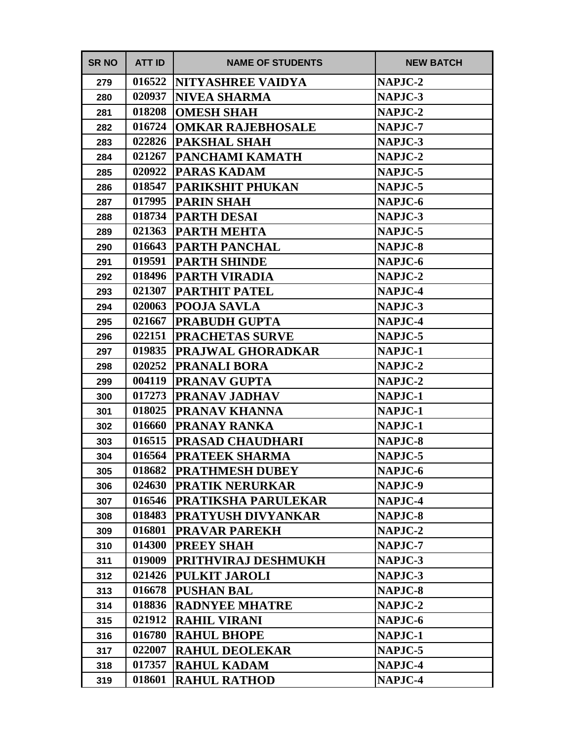| <b>SR NO</b> | <b>ATT ID</b> | <b>NAME OF STUDENTS</b>    | <b>NEW BATCH</b> |
|--------------|---------------|----------------------------|------------------|
| 279          | 016522        | <b>NITYASHREE VAIDYA</b>   | NAPJC-2          |
| 280          | 020937        | <b>NIVEA SHARMA</b>        | NAPJC-3          |
| 281          | 018208        | <b>OMESH SHAH</b>          | <b>NAPJC-2</b>   |
| 282          | 016724        | <b>OMKAR RAJEBHOSALE</b>   | <b>NAPJC-7</b>   |
| 283          | 022826        | <b>PAKSHAL SHAH</b>        | NAPJC-3          |
| 284          | 021267        | PANCHAMI KAMATH            | NAPJC-2          |
| 285          | 020922        | <b>PARAS KADAM</b>         | NAPJC-5          |
| 286          | 018547        | <b>PARIKSHIT PHUKAN</b>    | NAPJC-5          |
| 287          | 017995        | <b>PARIN SHAH</b>          | NAPJC-6          |
| 288          | 018734        | <b>PARTH DESAI</b>         | NAPJC-3          |
| 289          | 021363        | <b>PARTH MEHTA</b>         | NAPJC-5          |
| 290          | 016643        | <b>PARTH PANCHAL</b>       | NAPJC-8          |
| 291          | 019591        | <b>PARTH SHINDE</b>        | NAPJC-6          |
| 292          | 018496        | <b>PARTH VIRADIA</b>       | NAPJC-2          |
| 293          | 021307        | <b>PARTHIT PATEL</b>       | NAPJC-4          |
| 294          | 020063        | <b>POOJA SAVLA</b>         | NAPJC-3          |
| 295          | 021667        | <b>PRABUDH GUPTA</b>       | NAPJC-4          |
| 296          | 022151        | <b>PRACHETAS SURVE</b>     | NAPJC-5          |
| 297          | 019835        | <b>PRAJWAL GHORADKAR</b>   | NAPJC-1          |
| 298          | 020252        | <b>PRANALI BORA</b>        | NAPJC-2          |
| 299          | 004119        | PRANAV GUPTA               | NAPJC-2          |
| 300          | 017273        | <b>PRANAV JADHAV</b>       | NAPJC-1          |
| 301          | 018025        | PRANAV KHANNA              | NAPJC-1          |
| 302          | 016660        | <b>PRANAY RANKA</b>        | NAPJC-1          |
| 303          | 016515        | <b>PRASAD CHAUDHARI</b>    | NAPJC-8          |
| 304          | 016564        | <b>PRATEEK SHARMA</b>      | NAPJC-5          |
| 305          | 018682        | <b>PRATHMESH DUBEY</b>     | NAPJC-6          |
| 306          | 024630        | <b>PRATIK NERURKAR</b>     | NAPJC-9          |
| 307          | 016546        | <b>PRATIKSHA PARULEKAR</b> | NAPJC-4          |
| 308          | 018483        | <b>PRATYUSH DIVYANKAR</b>  | NAPJC-8          |
| 309          | 016801        | <b>PRAVAR PAREKH</b>       | NAPJC-2          |
| 310          | 014300        | <b>PREEY SHAH</b>          | NAPJC-7          |
| 311          | 019009        | <b>PRITHVIRAJ DESHMUKH</b> | NAPJC-3          |
| 312          | 021426        | <b>PULKIT JAROLI</b>       | NAPJC-3          |
| 313          | 016678        | <b>PUSHAN BAL</b>          | NAPJC-8          |
| 314          | 018836        | <b>RADNYEE MHATRE</b>      | NAPJC-2          |
| 315          | 021912        | <b>RAHIL VIRANI</b>        | NAPJC-6          |
| 316          | 016780        | <b>RAHUL BHOPE</b>         | NAPJC-1          |
| 317          | 022007        | <b>RAHUL DEOLEKAR</b>      | NAPJC-5          |
| 318          | 017357        | <b>RAHUL KADAM</b>         | NAPJC-4          |
| 319          | 018601        | <b>RAHUL RATHOD</b>        | NAPJC-4          |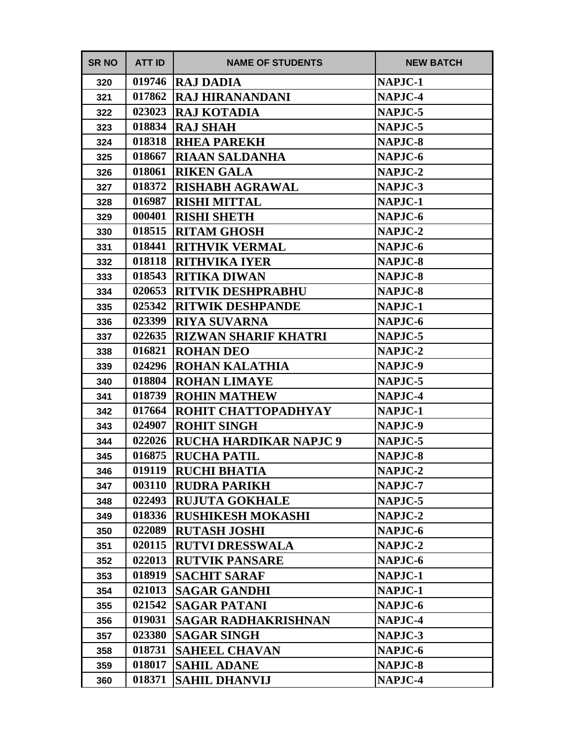| <b>SR NO</b> | <b>ATT ID</b> | <b>NAME OF STUDENTS</b>       | <b>NEW BATCH</b> |
|--------------|---------------|-------------------------------|------------------|
| 320          | 019746        | <b>RAJ DADIA</b>              | NAPJC-1          |
| 321          | 017862        | <b>RAJ HIRANANDANI</b>        | NAPJC-4          |
| 322          | 023023        | <b>RAJ KOTADIA</b>            | NAPJC-5          |
| 323          | 018834        | <b>RAJ SHAH</b>               | NAPJC-5          |
| 324          | 018318        | <b>RHEA PAREKH</b>            | NAPJC-8          |
| 325          | 018667        | <b>RIAAN SALDANHA</b>         | NAPJC-6          |
| 326          | 018061        | <b>RIKEN GALA</b>             | <b>NAPJC-2</b>   |
| 327          | 018372        | <b>RISHABH AGRAWAL</b>        | NAPJC-3          |
| 328          | 016987        | <b>RISHI MITTAL</b>           | NAPJC-1          |
| 329          | 000401        | <b>RISHI SHETH</b>            | NAPJC-6          |
| 330          | 018515        | <b>RITAM GHOSH</b>            | <b>NAPJC-2</b>   |
| 331          | 018441        | <b>RITHVIK VERMAL</b>         | NAPJC-6          |
| 332          | 018118        | <b>RITHVIKA IYER</b>          | <b>NAPJC-8</b>   |
| 333          | 018543        | <b>RITIKA DIWAN</b>           | NAPJC-8          |
| 334          | 020653        | <b>RITVIK DESHPRABHU</b>      | <b>NAPJC-8</b>   |
| 335          | 025342        | <b>RITWIK DESHPANDE</b>       | NAPJC-1          |
| 336          | 023399        | <b>RIYA SUVARNA</b>           | NAPJC-6          |
| 337          | 022635        | <b>RIZWAN SHARIF KHATRI</b>   | NAPJC-5          |
| 338          | 016821        | <b>ROHAN DEO</b>              | <b>NAPJC-2</b>   |
| 339          | 024296        | <b>ROHAN KALATHIA</b>         | NAPJC-9          |
| 340          | 018804        | <b>ROHAN LIMAYE</b>           | NAPJC-5          |
| 341          | 018739        | <b>ROHIN MATHEW</b>           | NAPJC-4          |
| 342          | 017664        | ROHIT CHATTOPADHYAY           | NAPJC-1          |
| 343          | 024907        | <b>ROHIT SINGH</b>            | NAPJC-9          |
| 344          | 022026        | <b>RUCHA HARDIKAR NAPJC 9</b> | NAPJC-5          |
| 345          | 016875        | <b>RUCHA PATIL</b>            | NAPJC-8          |
| 346          | 019119        | <b>RUCHI BHATIA</b>           | NAPJC-2          |
| 347          | 003110        | <b>RUDRA PARIKH</b>           | NAPJC-7          |
| 348          | 022493        | <b>RUJUTA GOKHALE</b>         | NAPJC-5          |
| 349          | 018336        | <b>RUSHIKESH MOKASHI</b>      | NAPJC-2          |
| 350          | 022089        | <b>RUTASH JOSHI</b>           | NAPJC-6          |
| 351          | 020115        | <b>RUTVI DRESSWALA</b>        | NAPJC-2          |
| 352          | 022013        | <b>RUTVIK PANSARE</b>         | NAPJC-6          |
| 353          | 018919        | <b>SACHIT SARAF</b>           | NAPJC-1          |
| 354          | 021013        | <b>SAGAR GANDHI</b>           | NAPJC-1          |
| 355          | 021542        | <b>SAGAR PATANI</b>           | NAPJC-6          |
| 356          | 019031        | <b>SAGAR RADHAKRISHNAN</b>    | NAPJC-4          |
| 357          | 023380        | <b>SAGAR SINGH</b>            | NAPJC-3          |
| 358          | 018731        | <b>SAHEEL CHAVAN</b>          | NAPJC-6          |
| 359          | 018017        | <b>SAHIL ADANE</b>            | NAPJC-8          |
| 360          | 018371        | <b>SAHIL DHANVIJ</b>          | NAPJC-4          |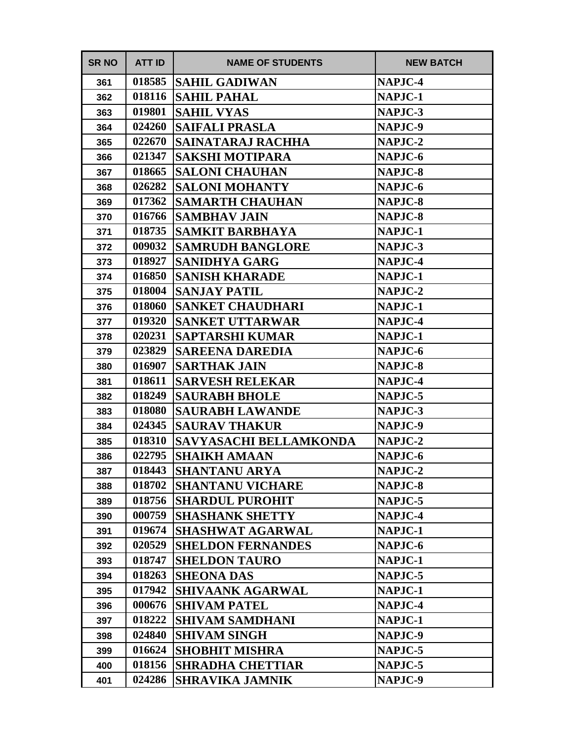| <b>SR NO</b> | <b>ATT ID</b> | <b>NAME OF STUDENTS</b>       | <b>NEW BATCH</b> |
|--------------|---------------|-------------------------------|------------------|
| 361          | 018585        | <b>SAHIL GADIWAN</b>          | NAPJC-4          |
| 362          | 018116        | <b>SAHIL PAHAL</b>            | NAPJC-1          |
| 363          | 019801        | <b>SAHIL VYAS</b>             | NAPJC-3          |
| 364          | 024260        | <b>SAIFALI PRASLA</b>         | NAPJC-9          |
| 365          | 022670        | SAINATARAJ RACHHA             | NAPJC-2          |
| 366          | 021347        | <b>SAKSHI MOTIPARA</b>        | NAPJC-6          |
| 367          | 018665        | <b>SALONI CHAUHAN</b>         | NAPJC-8          |
| 368          | 026282        | <b>SALONI MOHANTY</b>         | NAPJC-6          |
| 369          | 017362        | <b>SAMARTH CHAUHAN</b>        | NAPJC-8          |
| 370          | 016766        | <b>SAMBHAV JAIN</b>           | NAPJC-8          |
| 371          | 018735        | <b>SAMKIT BARBHAYA</b>        | NAPJC-1          |
| 372          | 009032        | <b>SAMRUDH BANGLORE</b>       | NAPJC-3          |
| 373          | 018927        | <b>SANIDHYA GARG</b>          | NAPJC-4          |
| 374          | 016850        | <b>SANISH KHARADE</b>         | NAPJC-1          |
| 375          | 018004        | <b>SANJAY PATIL</b>           | NAPJC-2          |
| 376          | 018060        | <b>SANKET CHAUDHARI</b>       | NAPJC-1          |
| 377          | 019320        | <b>SANKET UTTARWAR</b>        | NAPJC-4          |
| 378          | 020231        | <b>SAPTARSHI KUMAR</b>        | NAPJC-1          |
| 379          | 023829        | <b>SAREENA DAREDIA</b>        | NAPJC-6          |
| 380          | 016907        | <b>SARTHAK JAIN</b>           | NAPJC-8          |
| 381          | 018611        | <b>SARVESH RELEKAR</b>        | NAPJC-4          |
| 382          | 018249        | <b>SAURABH BHOLE</b>          | NAPJC-5          |
| 383          | 018080        | <b>SAURABH LAWANDE</b>        | NAPJC-3          |
| 384          | 024345        | <b>SAURAV THAKUR</b>          | NAPJC-9          |
| 385          | 018310        | <b>SAVYASACHI BELLAMKONDA</b> | NAPJC-2          |
| 386          | 022795        | <b>SHAIKH AMAAN</b>           | NAPJC-6          |
| 387          | 018443        | <b>SHANTANU ARYA</b>          | NAPJC-2          |
| 388          | 018702        | <b>SHANTANU VICHARE</b>       | NAPJC-8          |
| 389          | 018756        | <b> SHARDUL PUROHIT</b>       | NAPJC-5          |
| 390          | 000759        | <b>SHASHANK SHETTY</b>        | NAPJC-4          |
| 391          | 019674        | <b>SHASHWAT AGARWAL</b>       | NAPJC-1          |
| 392          | 020529        | <b>SHELDON FERNANDES</b>      | NAPJC-6          |
| 393          | 018747        | <b>SHELDON TAURO</b>          | NAPJC-1          |
| 394          | 018263        | <b>SHEONA DAS</b>             | NAPJC-5          |
| 395          | 017942        | <b>SHIVAANK AGARWAL</b>       | NAPJC-1          |
| 396          | 000676        | <b>SHIVAM PATEL</b>           | NAPJC-4          |
| 397          | 018222        | <b>SHIVAM SAMDHANI</b>        | NAPJC-1          |
| 398          | 024840        | <b>SHIVAM SINGH</b>           | NAPJC-9          |
| 399          | 016624        | <b>SHOBHIT MISHRA</b>         | NAPJC-5          |
| 400          | 018156        | <b>SHRADHA CHETTIAR</b>       | <b>NAPJC-5</b>   |
| 401          | 024286        | <b>SHRAVIKA JAMNIK</b>        | <b>NAPJC-9</b>   |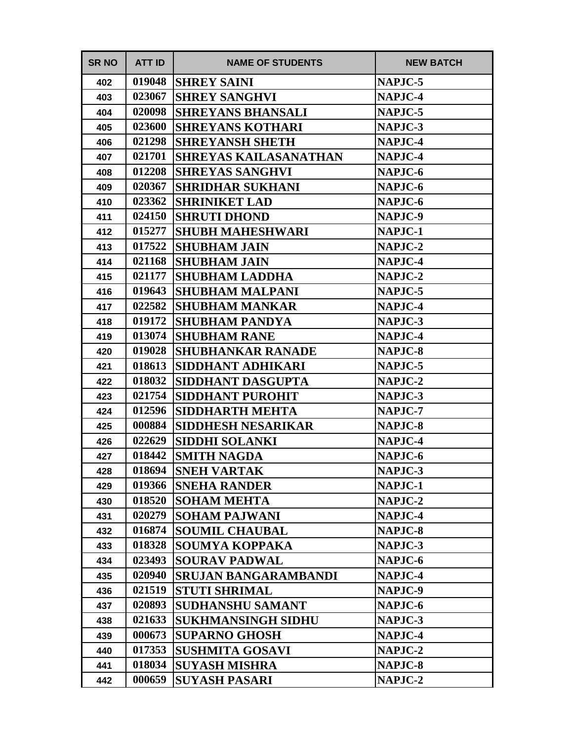| <b>SR NO</b> | <b>ATT ID</b> | <b>NAME OF STUDENTS</b>      | <b>NEW BATCH</b> |
|--------------|---------------|------------------------------|------------------|
| 402          | 019048        | <b>SHREY SAINI</b>           | NAPJC-5          |
| 403          | 023067        | <b>SHREY SANGHVI</b>         | NAPJC-4          |
| 404          | 020098        | <b>SHREYANS BHANSALI</b>     | NAPJC-5          |
| 405          | 023600        | <b>SHREYANS KOTHARI</b>      | NAPJC-3          |
| 406          | 021298        | <b>SHREYANSH SHETH</b>       | NAPJC-4          |
| 407          | 021701        | <b>SHREYAS KAILASANATHAN</b> | NAPJC-4          |
| 408          | 012208        | <b>SHREYAS SANGHVI</b>       | NAPJC-6          |
| 409          | 020367        | <b>SHRIDHAR SUKHANI</b>      | NAPJC-6          |
| 410          | 023362        | <b>SHRINIKET LAD</b>         | NAPJC-6          |
| 411          | 024150        | <b>SHRUTI DHOND</b>          | NAPJC-9          |
| 412          | 015277        | <b>SHUBH MAHESHWARI</b>      | NAPJC-1          |
| 413          | 017522        | <b>SHUBHAM JAIN</b>          | NAPJC-2          |
| 414          | 021168        | <b>SHUBHAM JAIN</b>          | <b>NAPJC-4</b>   |
| 415          | 021177        | <b>SHUBHAM LADDHA</b>        | NAPJC-2          |
| 416          | 019643        | <b>SHUBHAM MALPANI</b>       | <b>NAPJC-5</b>   |
| 417          | 022582        | <b>SHUBHAM MANKAR</b>        | <b>NAPJC-4</b>   |
| 418          | 019172        | <b>SHUBHAM PANDYA</b>        | NAPJC-3          |
| 419          | 013074        | <b>SHUBHAM RANE</b>          | NAPJC-4          |
| 420          | 019028        | <b>SHUBHANKAR RANADE</b>     | <b>NAPJC-8</b>   |
| 421          | 018613        | SIDDHANT ADHIKARI            | NAPJC-5          |
| 422          | 018032        | SIDDHANT DASGUPTA            | NAPJC-2          |
| 423          | 021754        | <b>SIDDHANT PUROHIT</b>      | NAPJC-3          |
| 424          | 012596        | <b>SIDDHARTH MEHTA</b>       | NAPJC-7          |
| 425          | 000884        | <b>SIDDHESH NESARIKAR</b>    | NAPJC-8          |
| 426          | 022629        | <b>SIDDHI SOLANKI</b>        | NAPJC-4          |
| 427          | 018442        | <b>SMITH NAGDA</b>           | NAPJC-6          |
| 428          | 018694        | <b>SNEH VARTAK</b>           | NAPJC-3          |
| 429          | 019366        | <b>SNEHA RANDER</b>          | NAPJC-1          |
| 430          | 018520        | <b>SOHAM MEHTA</b>           | NAPJC-2          |
| 431          | 020279        | <b>SOHAM PAJWANI</b>         | NAPJC-4          |
| 432          | 016874        | <b>SOUMIL CHAUBAL</b>        | NAPJC-8          |
| 433          | 018328        | <b>SOUMYA KOPPAKA</b>        | NAPJC-3          |
| 434          | 023493        | <b>SOURAV PADWAL</b>         | NAPJC-6          |
| 435          | 020940        | <b>SRUJAN BANGARAMBANDI</b>  | <b>NAPJC-4</b>   |
| 436          | 021519        | <b>STUTI SHRIMAL</b>         | NAPJC-9          |
| 437          | 020893        | <b>SUDHANSHU SAMANT</b>      | NAPJC-6          |
| 438          | 021633        | <b>SUKHMANSINGH SIDHU</b>    | NAPJC-3          |
| 439          | 000673        | <b>SUPARNO GHOSH</b>         | NAPJC-4          |
| 440          | 017353        | <b>SUSHMITA GOSAVI</b>       | NAPJC-2          |
| 441          | 018034        | <b>SUYASH MISHRA</b>         | NAPJC-8          |
| 442          | 000659        | <b>SUYASH PASARI</b>         | <b>NAPJC-2</b>   |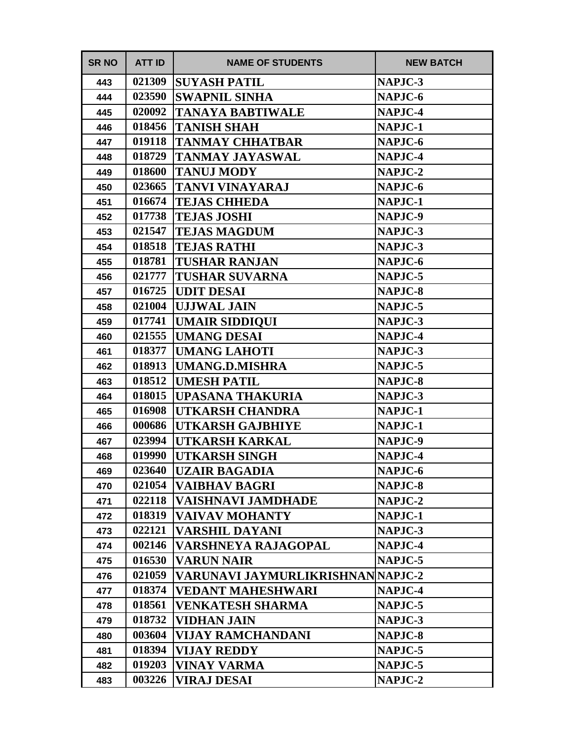| <b>SR NO</b> | <b>ATT ID</b> | <b>NAME OF STUDENTS</b>           | <b>NEW BATCH</b> |
|--------------|---------------|-----------------------------------|------------------|
| 443          | 021309        | <b>SUYASH PATIL</b>               | NAPJC-3          |
| 444          | 023590        | <b>SWAPNIL SINHA</b>              | NAPJC-6          |
| 445          | 020092        | <b>TANAYA BABTIWALE</b>           | NAPJC-4          |
| 446          | 018456        | TANISH SHAH                       | NAPJC-1          |
| 447          | 019118        | TANMAY CHHATBAR                   | NAPJC-6          |
| 448          | 018729        | TANMAY JAYASWAL                   | NAPJC-4          |
| 449          | 018600        | <b>TANUJ MODY</b>                 | <b>NAPJC-2</b>   |
| 450          | 023665        | TANVI VINAYARAJ                   | NAPJC-6          |
| 451          | 016674        | <b>TEJAS CHHEDA</b>               | NAPJC-1          |
| 452          | 017738        | <b>TEJAS JOSHI</b>                | NAPJC-9          |
| 453          | 021547        | <b>TEJAS MAGDUM</b>               | NAPJC-3          |
| 454          | 018518        | <b>TEJAS RATHI</b>                | NAPJC-3          |
| 455          | 018781        | <b>TUSHAR RANJAN</b>              | NAPJC-6          |
| 456          | 021777        | TUSHAR SUVARNA                    | NAPJC-5          |
| 457          | 016725        | <b>UDIT DESAI</b>                 | NAPJC-8          |
| 458          | 021004        | <b>UJJWAL JAIN</b>                | NAPJC-5          |
| 459          | 017741        | <b>UMAIR SIDDIQUI</b>             | NAPJC-3          |
| 460          | 021555        | <b>UMANG DESAI</b>                | NAPJC-4          |
| 461          | 018377        | <b>UMANG LAHOTI</b>               | NAPJC-3          |
| 462          | 018913        | UMANG.D.MISHRA                    | NAPJC-5          |
| 463          | 018512        | <b>UMESH PATIL</b>                | NAPJC-8          |
| 464          | 018015        | UPASANA THAKURIA                  | NAPJC-3          |
| 465          | 016908        | UTKARSH CHANDRA                   | NAPJC-1          |
| 466          | 000686        | <b>UTKARSH GAJBHIYE</b>           | NAPJC-1          |
| 467          | 023994        | UTKARSH KARKAL                    | NAPJC-9          |
| 468          | 019990        | <b>UTKARSH SINGH</b>              | NAPJC-4          |
| 469          | 023640        | UZAIR BAGADIA                     | NAPJC-6          |
| 470          | 021054        | <b>VAIBHAV BAGRI</b>              | NAPJC-8          |
| 471          | 022118        | VAISHNAVI JAMDHADE                | NAPJC-2          |
| 472          | 018319        | VAIVAV MOHANTY                    | NAPJC-1          |
| 473          | 022121        | VARSHIL DAYANI                    | NAPJC-3          |
| 474          | 002146        | VARSHNEYA RAJAGOPAL               | NAPJC-4          |
| 475          | 016530        | <b>VARUN NAIR</b>                 | NAPJC-5          |
| 476          | 021059        | VARUNAVI JAYMURLIKRISHNAN NAPJC-2 |                  |
| 477          | 018374        | <b>VEDANT MAHESHWARI</b>          | NAPJC-4          |
| 478          | 018561        | <b>VENKATESH SHARMA</b>           | NAPJC-5          |
| 479          | 018732        | VIDHAN JAIN                       | NAPJC-3          |
| 480          | 003604        | <b>VIJAY RAMCHANDANI</b>          | NAPJC-8          |
| 481          | 018394        | <b>VIJAY REDDY</b>                | NAPJC-5          |
| 482          | 019203        | VINAY VARMA                       | NAPJC-5          |
| 483          | 003226        | <b>VIRAJ DESAI</b>                | <b>NAPJC-2</b>   |